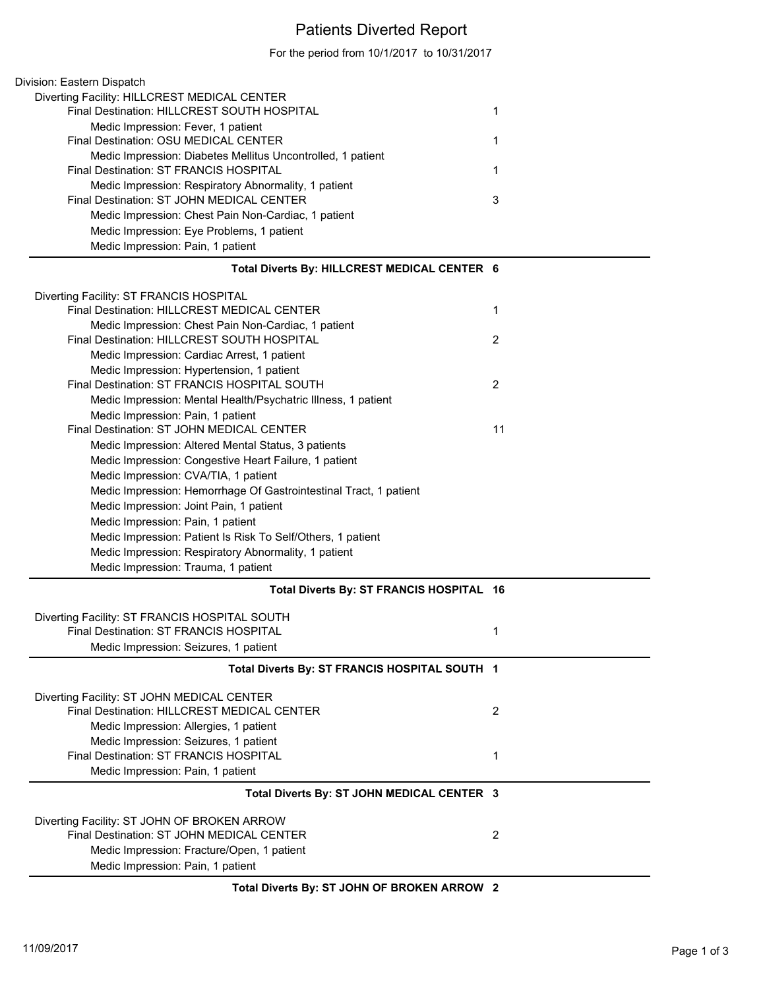## Patients Diverted Report

For the period from 10/1/2017 to 10/31/2017

| Total Diverts By: HILLCREST MEDICAL CENTER 6                |   |
|-------------------------------------------------------------|---|
| Medic Impression: Pain, 1 patient                           |   |
| Medic Impression: Eye Problems, 1 patient                   |   |
| Medic Impression: Chest Pain Non-Cardiac, 1 patient         |   |
| Final Destination: ST JOHN MEDICAL CENTER                   | 3 |
| Medic Impression: Respiratory Abnormality, 1 patient        |   |
| Final Destination: ST FRANCIS HOSPITAL                      |   |
| Medic Impression: Diabetes Mellitus Uncontrolled, 1 patient |   |
| Final Destination: OSU MEDICAL CENTER                       |   |
| Medic Impression: Fever, 1 patient                          |   |
| Final Destination: HILLCREST SOUTH HOSPITAL                 |   |
| Diverting Facility: HILLCREST MEDICAL CENTER                |   |
| Division: Eastern Dispatch                                  |   |

| Diverting Facility: ST FRANCIS HOSPITAL                           |    |
|-------------------------------------------------------------------|----|
| Final Destination: HILLCREST MEDICAL CENTER                       |    |
| Medic Impression: Chest Pain Non-Cardiac, 1 patient               |    |
| Final Destination: HILLCREST SOUTH HOSPITAL                       | 2  |
| Medic Impression: Cardiac Arrest, 1 patient                       |    |
| Medic Impression: Hypertension, 1 patient                         |    |
| Final Destination: ST FRANCIS HOSPITAL SOUTH                      | 2  |
| Medic Impression: Mental Health/Psychatric Illness, 1 patient     |    |
| Medic Impression: Pain, 1 patient                                 |    |
| Final Destination: ST JOHN MEDICAL CENTER                         | 11 |
| Medic Impression: Altered Mental Status, 3 patients               |    |
| Medic Impression: Congestive Heart Failure, 1 patient             |    |
| Medic Impression: CVA/TIA, 1 patient                              |    |
| Medic Impression: Hemorrhage Of Gastrointestinal Tract, 1 patient |    |
| Medic Impression: Joint Pain, 1 patient                           |    |
| Medic Impression: Pain, 1 patient                                 |    |
| Medic Impression: Patient Is Risk To Self/Others, 1 patient       |    |
| Medic Impression: Respiratory Abnormality, 1 patient              |    |
| Medic Impression: Trauma, 1 patient                               |    |
| Total Diverts By: ST FRANCIS HOSPITAL 16                          |    |

| Diverting Facility: ST FRANCIS HOSPITAL SOUTH<br>Final Destination: ST FRANCIS HOSPITAL<br>Medic Impression: Seizures, 1 patient                                             |   |
|------------------------------------------------------------------------------------------------------------------------------------------------------------------------------|---|
| Total Diverts By: ST FRANCIS HOSPITAL SOUTH 1                                                                                                                                |   |
| Diverting Facility: ST JOHN MEDICAL CENTER<br>Final Destination: HILLCREST MEDICAL CENTER<br>Medic Impression: Allergies, 1 patient<br>Medic Impression: Seizures, 1 patient | 2 |
| Final Destination: ST FRANCIS HOSPITAL<br>Medic Impression: Pain, 1 patient                                                                                                  |   |
| Total Diverts By: ST JOHN MEDICAL CENTER 3                                                                                                                                   |   |
| Diverting Facility: ST JOHN OF BROKEN ARROW<br>Final Destination: ST JOHN MEDICAL CENTER<br>Medic Impression: Fracture/Open, 1 patient<br>Medic Impression: Pain, 1 patient  | 2 |

**Total Diverts By: ST JOHN OF BROKEN ARROW 2**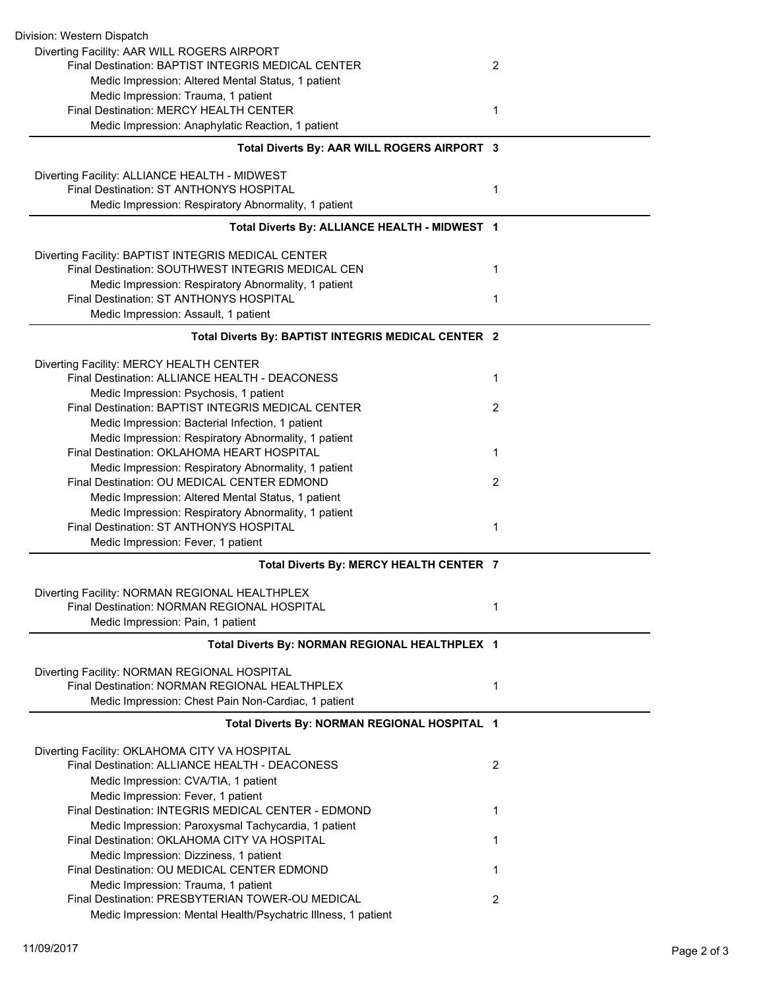| Division: Western Dispatch                                                                      |                |
|-------------------------------------------------------------------------------------------------|----------------|
| Diverting Facility: AAR WILL ROGERS AIRPORT                                                     |                |
| Final Destination: BAPTIST INTEGRIS MEDICAL CENTER                                              | $\overline{2}$ |
| Medic Impression: Altered Mental Status, 1 patient                                              |                |
| Medic Impression: Trauma, 1 patient                                                             |                |
| Final Destination: MERCY HEALTH CENTER                                                          | 1              |
| Medic Impression: Anaphylatic Reaction, 1 patient                                               |                |
| Total Diverts By: AAR WILL ROGERS AIRPORT 3                                                     |                |
|                                                                                                 |                |
| Diverting Facility: ALLIANCE HEALTH - MIDWEST<br>Final Destination: ST ANTHONYS HOSPITAL        |                |
|                                                                                                 | 1              |
| Medic Impression: Respiratory Abnormality, 1 patient                                            |                |
| Total Diverts By: ALLIANCE HEALTH - MIDWEST 1                                                   |                |
| Diverting Facility: BAPTIST INTEGRIS MEDICAL CENTER                                             |                |
| Final Destination: SOUTHWEST INTEGRIS MEDICAL CEN                                               | 1              |
| Medic Impression: Respiratory Abnormality, 1 patient                                            |                |
| Final Destination: ST ANTHONYS HOSPITAL                                                         | 1              |
| Medic Impression: Assault, 1 patient                                                            |                |
| Total Diverts By: BAPTIST INTEGRIS MEDICAL CENTER 2                                             |                |
| Diverting Facility: MERCY HEALTH CENTER                                                         |                |
| Final Destination: ALLIANCE HEALTH - DEACONESS                                                  | 1              |
| Medic Impression: Psychosis, 1 patient                                                          |                |
| Final Destination: BAPTIST INTEGRIS MEDICAL CENTER                                              | 2              |
| Medic Impression: Bacterial Infection, 1 patient                                                |                |
| Medic Impression: Respiratory Abnormality, 1 patient                                            |                |
| Final Destination: OKLAHOMA HEART HOSPITAL                                                      | 1              |
| Medic Impression: Respiratory Abnormality, 1 patient                                            |                |
| Final Destination: OU MEDICAL CENTER EDMOND                                                     | $\overline{2}$ |
| Medic Impression: Altered Mental Status, 1 patient                                              |                |
| Medic Impression: Respiratory Abnormality, 1 patient                                            |                |
| Final Destination: ST ANTHONYS HOSPITAL                                                         | 1              |
| Medic Impression: Fever, 1 patient                                                              |                |
| Total Diverts By: MERCY HEALTH CENTER 7                                                         |                |
|                                                                                                 |                |
| Diverting Facility: NORMAN REGIONAL HEALTHPLEX<br>Final Destination: NORMAN REGIONAL HOSPITAL   |                |
|                                                                                                 | 1              |
| Medic Impression: Pain, 1 patient                                                               |                |
| Total Diverts By: NORMAN REGIONAL HEALTHPLEX 1                                                  |                |
| Diverting Facility: NORMAN REGIONAL HOSPITAL                                                    |                |
| Final Destination: NORMAN REGIONAL HEALTHPLEX                                                   | 1              |
| Medic Impression: Chest Pain Non-Cardiac, 1 patient                                             |                |
| Total Diverts By: NORMAN REGIONAL HOSPITAL 1                                                    |                |
|                                                                                                 |                |
| Diverting Facility: OKLAHOMA CITY VA HOSPITAL<br>Final Destination: ALLIANCE HEALTH - DEACONESS | $\overline{2}$ |
|                                                                                                 |                |
| Medic Impression: CVA/TIA, 1 patient                                                            |                |
| Medic Impression: Fever, 1 patient                                                              |                |
| Final Destination: INTEGRIS MEDICAL CENTER - EDMOND                                             | 1              |
| Medic Impression: Paroxysmal Tachycardia, 1 patient                                             |                |
| Final Destination: OKLAHOMA CITY VA HOSPITAL                                                    | 1              |
| Medic Impression: Dizziness, 1 patient                                                          |                |
| Final Destination: OU MEDICAL CENTER EDMOND                                                     | 1              |
| Medic Impression: Trauma, 1 patient                                                             |                |
| Final Destination: PRESBYTERIAN TOWER-OU MEDICAL                                                | $\overline{2}$ |
| Medic Impression: Mental Health/Psychatric Illness, 1 patient                                   |                |